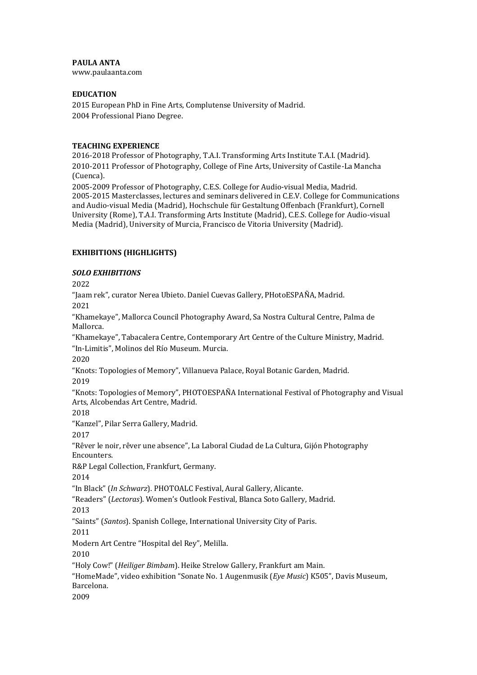# **PAULA ANTA**

www.paulaanta.com

### **EDUCATION**

2015 European PhD in Fine Arts, Complutense University of Madrid. 2004 Professional Piano Degree.

### **TEACHING EXPERIENCE**

2016-2018 Professor of Photography, T.A.I. Transforming Arts Institute T.A.I. (Madrid). 2010-2011 Professor of Photography, College of Fine Arts, University of Castile-La Mancha (Cuenca).

2005-2009 Professor of Photography, C.E.S. College for Audio-visual Media, Madrid. 2005-2015 Masterclasses, lectures and seminars delivered in C.E.V. College for Communications and Audio-visual Media (Madrid), Hochschule für Gestaltung Offenbach (Frankfurt), Cornell University (Rome), T.A.I. Transforming Arts Institute (Madrid), C.E.S. College for Audio-visual Media (Madrid), University of Murcia, Francisco de Vitoria University (Madrid).

# **EXHIBITIONS (HIGHLIGHTS)**

### *SOLO EXHIBITIONS*

2022

"Jaam rek", curator Nerea Ubieto. Daniel Cuevas Gallery, PHotoESPAÑA, Madrid. 2021

"Khamekaye", Mallorca Council Photography Award, Sa Nostra Cultural Centre, Palma de Mallorca.

"Khamekaye", Tabacalera Centre, Contemporary Art Centre of the Culture Ministry, Madrid. "In-Limitis", Molinos del Río Museum. Murcia.

2020

"Knots: Topologies of Memory", Villanueva Palace, Royal Botanic Garden, Madrid. 2019

"Knots: Topologies of Memory", PHOTOESPAÑA International Festival of Photography and Visual Arts, Alcobendas Art Centre, Madrid.

2018

"Kanzel", Pilar Serra Gallery, Madrid.

2017

"Rêver le noir, rêver une absence", La Laboral Ciudad de La Cultura, Gijón Photography Encounters.

R&P Legal Collection, Frankfurt, Germany.

2014

"In Black" (*In Schwarz*). PHOTOALC Festival, Aural Gallery, Alicante.

"Readers" (*Lectoras*). Women's Outlook Festival, Blanca Soto Gallery, Madrid.

2013

"Saints" (*Santos*). Spanish College, International University City of Paris.

2011

Modern Art Centre "Hospital del Rey", Melilla.

2010

"Holy Cow!" (*Heiliger Bimbam*). Heike Strelow Gallery, Frankfurt am Main.

"HomeMade", video exhibition "Sonate No. 1 Augenmusik (*Eye Music*) K505", Davis Museum, Barcelona.

2009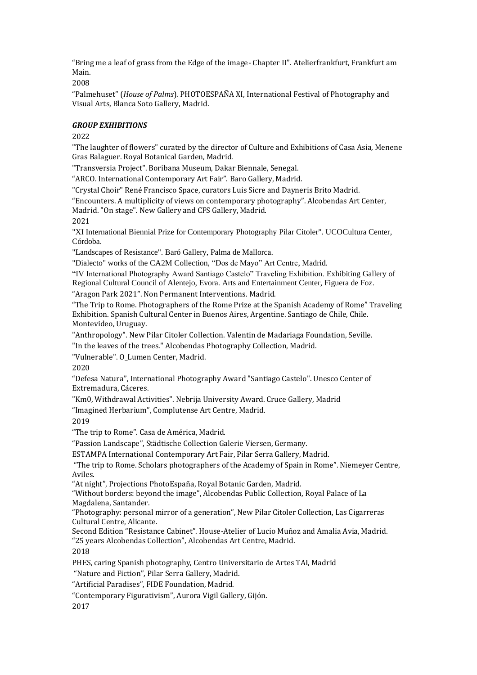"Bring me a leaf of grass from the Edge of the image- Chapter II". Atelierfrankfurt, Frankfurt am Main.

2008

"Palmehuset" (*House of Palms*). PHOTOESPAÑA XI, International Festival of Photography and Visual Arts, Blanca Soto Gallery, Madrid.

## *GROUP EXHIBITIONS*

2022

"The laughter of flowers" curated by the director of Culture and Exhibitions of Casa Asia, Menene Gras Balaguer. Royal Botanical Garden, Madrid.

"Transversia Project". Boribana Museum, Dakar Biennale, Senegal.

"ARCO. International Contemporary Art Fair". Baro Gallery, Madrid.

"Crystal Choir" René Francisco Space, curators Luis Sicre and Dayneris Brito Madrid.

"Encounters. A multiplicity of views on contemporary photography". Alcobendas Art Center, Madrid. "On stage". New Gallery and CFS Gallery, Madrid.

2021

"XI International Biennial Prize for Contemporary Photography Pilar Citoler". UCOCultura Center, Córdoba.

"Landscapes of Resistance". Baró Gallery, Palma de Mallorca.

"Dialecto" works of the CA2M Collection, "Dos de Mayo" Art Centre, Madrid.

"IV International Photography Award Santiago Castelo" Traveling Exhibition. Exhibiting Gallery of Regional Cultural Council of Alentejo, Evora. Arts and Entertainment Center, Figuera de Foz.

"Aragon Park 2021". Non Permanent Interventions. Madrid.

"The Trip to Rome. Photographers of the Rome Prize at the Spanish Academy of Rome" Traveling Exhibition. Spanish Cultural Center in Buenos Aires, Argentine. Santiago de Chile, Chile. Montevideo, Uruguay.

"Anthropology". New Pilar Citoler Collection. Valentin de Madariaga Foundation, Seville.

"In the leaves of the trees." Alcobendas Photography Collection, Madrid.

"Vulnerable". O\_Lumen Center, Madrid.

2020

"Defesa Natura", International Photography Award "Santiago Castelo". Unesco Center of Extremadura, Cáceres.

"Km0, Withdrawal Activities". Nebrija University Award. Cruce Gallery, Madrid

"Imagined Herbarium", Complutense Art Centre, Madrid.

2019

"The trip to Rome". Casa de América, Madrid.

"Passion Landscape", Städtische Collection Galerie Viersen, Germany.

ESTAMPA International Contemporary Art Fair, Pilar Serra Gallery, Madrid.

"The trip to Rome. Scholars photographers of the Academy of Spain in Rome". Niemeyer Centre, Aviles.

"At night", Projections PhotoEspaña, Royal Botanic Garden, Madrid.

"Without borders: beyond the image", Alcobendas Public Collection, Royal Palace of La Magdalena, Santander.

"Photography: personal mirror of a generation", New Pilar Citoler Collection, Las Cigarreras Cultural Centre, Alicante.

Second Edition "Resistance Cabinet". House-Atelier of Lucio Muñoz and Amalia Avia, Madrid. "25 years Alcobendas Collection", Alcobendas Art Centre, Madrid.

2018

PHES, caring Spanish photography, Centro Universitario de Artes TAI, Madrid

"Nature and Fiction", Pilar Serra Gallery, Madrid.

"Artificial Paradises", FIDE Foundation, Madrid.

"Contemporary Figurativism", Aurora Vigil Gallery, Gijón.

2017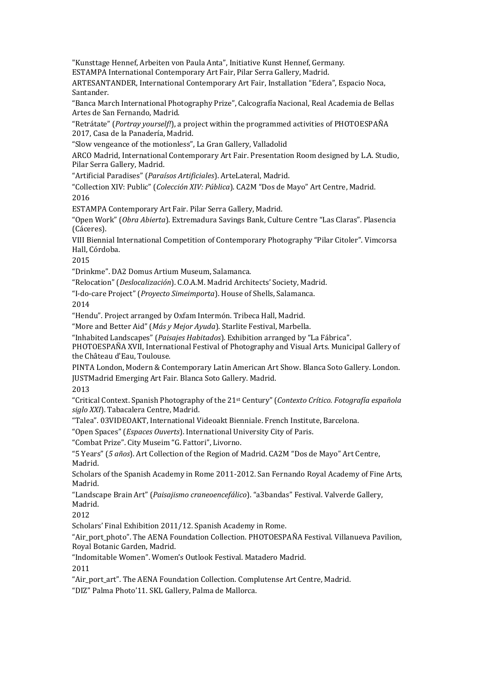"Kunsttage Hennef, Arbeiten von Paula Anta", Initiative Kunst Hennef, Germany. ESTAMPA International Contemporary Art Fair, Pilar Serra Gallery, Madrid.

ARTESANTANDER, International Contemporary Art Fair, Installation "Edera", Espacio Noca, Santander.

"Banca March International Photography Prize", Calcografía Nacional, Real Academia de Bellas Artes de San Fernando, Madrid.

"Retrátate" (*Portray yourself!*), a project within the programmed activities of PHOTOESPAÑA 2017, Casa de la Panadería, Madrid.

"Slow vengeance of the motionless", La Gran Gallery, Valladolid

ARCO Madrid, International Contemporary Art Fair. Presentation Room designed by L.A. Studio, Pilar Serra Gallery, Madrid.

"Artificial Paradises" (*Paraísos Artificiales*). ArteLateral, Madrid.

"Collection XIV: Public" (*Colección XIV: Pública*). CA2M "Dos de Mayo" Art Centre, Madrid. 2016

ESTAMPA Contemporary Art Fair. Pilar Serra Gallery, Madrid.

"Open Work" (*Obra Abierta*). Extremadura Savings Bank, Culture Centre "Las Claras". Plasencia (Cáceres).

VIII Biennial International Competition of Contemporary Photography "Pilar Citoler". Vimcorsa Hall, Córdoba.

2015

"Drinkme". DA2 Domus Artium Museum, Salamanca.

"Relocation" (*Deslocalización*). C.O.A.M. Madrid Architects' Society, Madrid.

"I-do-care Project" (*Proyecto Simeimporta*). House of Shells, Salamanca.

2014

"Hendu". Project arranged by Oxfam Intermón. Tribeca Hall, Madrid.

"More and Better Aid" (*Más y Mejor Ayuda*). Starlite Festival, Marbella.

"Inhabited Landscapes" (*Paisajes Habitados*). Exhibition arranged by "La Fábrica".

PHOTOESPAÑA XVII, International Festival of Photography and Visual Arts. Municipal Gallery of the Château d'Eau, Toulouse.

PINTA London, Modern & Contemporary Latin American Art Show. Blanca Soto Gallery. London. JUSTMadrid Emerging Art Fair. Blanca Soto Gallery. Madrid.

2013

"Critical Context. Spanish Photography of the 21st Century" (*Contexto Crítico. Fotografía española siglo XXI*). Tabacalera Centre, Madrid.

"Talea". 03VIDEOAKT, International Videoakt Bienniale. French Institute, Barcelona.

"Open Spaces" (*Espaces Ouverts*). International University City of Paris.

"Combat Prize". City Museim "G. Fattori", Livorno.

"5 Years" (*5 años*). Art Collection of the Region of Madrid. CA2M "Dos de Mayo" Art Centre, Madrid.

Scholars of the Spanish Academy in Rome 2011-2012. San Fernando Royal Academy of Fine Arts, Madrid.

"Landscape Brain Art" (*Paisajismo craneoencefálico*). "a3bandas" Festival. Valverde Gallery, Madrid.

2012

Scholars' Final Exhibition 2011/12. Spanish Academy in Rome.

"Air\_port\_photo". The AENA Foundation Collection. PHOTOESPAÑA Festival. Villanueva Pavilion, Royal Botanic Garden, Madrid.

"Indomitable Women". Women's Outlook Festival. Matadero Madrid.

2011

"Air\_port\_art". The AENA Foundation Collection. Complutense Art Centre, Madrid.

"DIZ" Palma Photo'11. SKL Gallery, Palma de Mallorca.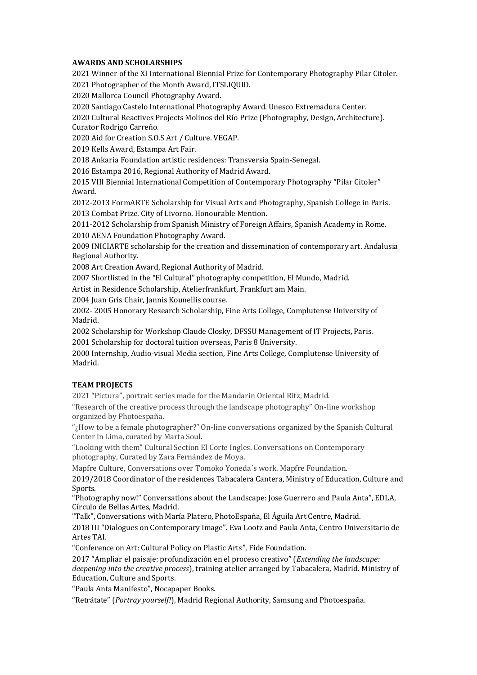### **AWARDS AND SCHOLARSHIPS**

2021 Winner of the XI International Biennial Prize for Contemporary Photography Pilar Citoler. 2021 Photographer of the Month Award, ITSLIQUID.

2020 Mallorca Council Photography Award.

2020 Santiago Castelo International Photography Award. Unesco Extremadura Center.

2020 Cultural Reactives Projects Molinos del Río Prize (Photography, Design, Architecture). Curator Rodrigo Carreño.

2020 Aid for Creation S.O.S Art / Culture. VEGAP.

2019 Kells Award, Estampa Art Fair.

2018 Ankaria Foundation artistic residences: Transversia Spain-Senegal.

2016 Estampa 2016, Regional Authority of Madrid Award.

2015 VIII Biennial International Competition of Contemporary Photography "Pilar Citoler" Award.

2012-2013 FormARTE Scholarship for Visual Arts and Photography, Spanish College in Paris. 2013 Combat Prize. City of Livorno. Honourable Mention.

2011-2012 Scholarship from Spanish Ministry of Foreign Affairs, Spanish Academy in Rome. 2010 AENA Foundation Photography Award.

2009 INICIARTE scholarship for the creation and dissemination of contemporary art. Andalusia Regional Authority.

2008 Art Creation Award, Regional Authority of Madrid.

2007 Shortlisted in the "El Cultural" photography competition, El Mundo, Madrid.

Artist in Residence Scholarship, Atelierfrankfurt, Frankfurt am Main.

2004 Juan Gris Chair, Jannis Kounellis course.

2002- 2005 Honorary Research Scholarship, Fine Arts College, Complutense University of Madrid.

2002 Scholarship for Workshop Claude Closky, DFSSU Management of IT Projects, Paris. 2001 Scholarship for doctoral tuition overseas, Paris 8 University.

2000 Internship, Audio-visual Media section, Fine Arts College, Complutense University of Madrid.

# **TEAM PROJECTS**

2021 "Pictura", portrait series made for the Mandarin Oriental Ritz, Madrid.

"Research of the creative process through the landscape photography" On-line workshop organized by Photoespaña.

"¿How to be a female photographer?" On-line conversations organized by the Spanish Cultural Center in Lima, curated by Marta Soul.

"Looking with them" Cultural Section El Corte Ingles. Conversations on Contemporary photography, Curated by Zara Fernández de Moya.

Mapfre Culture, Conversations over Tomoko Yoneda´s work. Mapfre Foundation.

2019/2018 Coordinator of the residences Tabacalera Cantera, Ministry of Education, Culture and Sports.

"Photography now!" Conversations about the Landscape: Jose Guerrero and Paula Anta", EDLA, Círculo de Bellas Artes, Madrid.

"Talk", Conversations with María Platero, PhotoEspaña, El Águila Art Centre, Madrid.

2018 III "Dialogues on Contemporary Image". Eva Lootz and Paula Anta, Centro Universitario de Artes TAI.

"Conference on Art: Cultural Policy on Plastic Arts", Fide Foundation.

2017 "Ampliar el paisaje: profundización en el proceso creativo" (*Extending the landscape: deepening into the creative process*), training atelier arranged by Tabacalera, Madrid. Ministry of Education, Culture and Sports.

"Paula Anta Manifesto", Nocapaper Books.

"Retrátate" (*Portray yourself!*), Madrid Regional Authority, Samsung and Photoespaña.